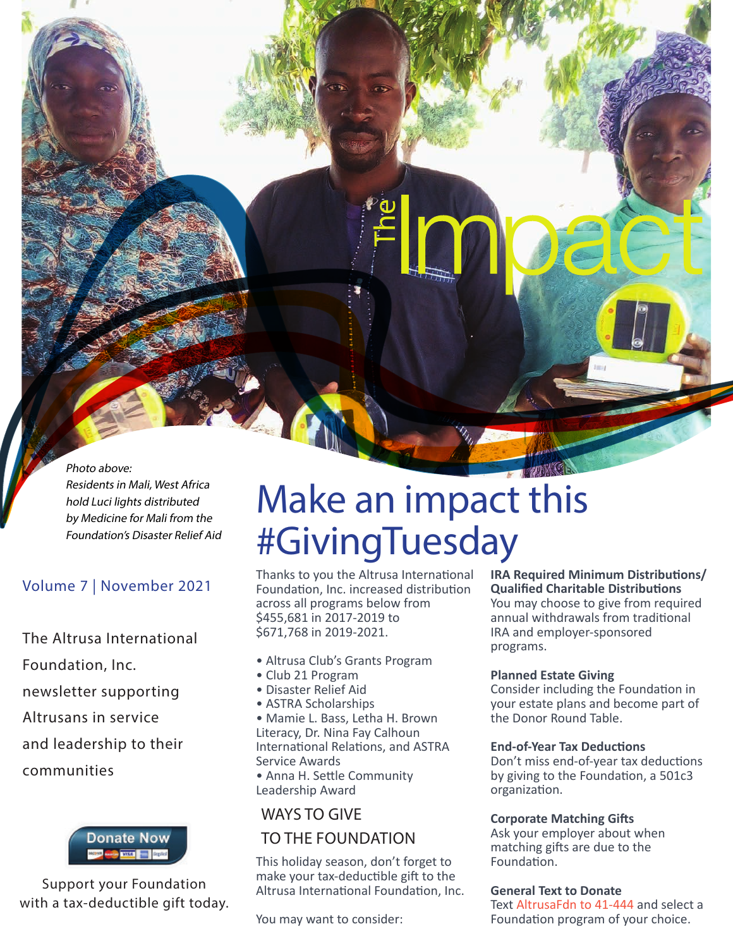Photo above: Residents in Mali, West Africa hold Luci lights distributed by Medicine for Mali from the Foundation's Disaster Relief Aid

### Volume 7 | November 2021

The Altrusa International Foundation, Inc. newsletter supporting Altrusans in service and leadership to their communities



Support your Foundation [with a tax-deductible gift today.](https://www.altrusa.org/foundation/) 

## Make an impact this #GivingTuesday

Thanks to you the Altrusa International Foundation, Inc. increased distribution across all programs below from \$455,681 in 2017-2019 to \$671,768 in 2019-2021.

The<sup>®</sup>

- Altrusa Club's Grants Program
- Club 21 Program
- Disaster Relief Aid
- ASTRA Scholarships

• Mamie L. Bass, Letha H. Brown Literacy, Dr. Nina Fay Calhoun International Relations, and ASTRA Service Awards • Anna H. Settle Community Leadership Award

### WAYS TO GIVE TO THE FOUNDATION

This holiday season, don't forget to make your tax-deductible gift to the Altrusa International Foundation, Inc.

You may want to consider:

**IRA Required Minimum Distributions/ Qualified Charitable Distributions** You may choose to give from required annual withdrawals from traditional IRA and employer-sponsored programs.

#### **Planned Estate Giving**

Consider including the Foundation in your estate plans and become part of the Donor Round Table.

#### **End-of-Year Tax Deductions**

Don't miss end-of-year tax deductions by giving to the Foundation, a 501c3 organization.

#### **Corporate Matching Gifts**

Ask your employer about when matching gifts are due to the Foundation.

#### **General Text to Donate**

Text AltrusaFdn to 41-444 and select a Foundation program of your choice.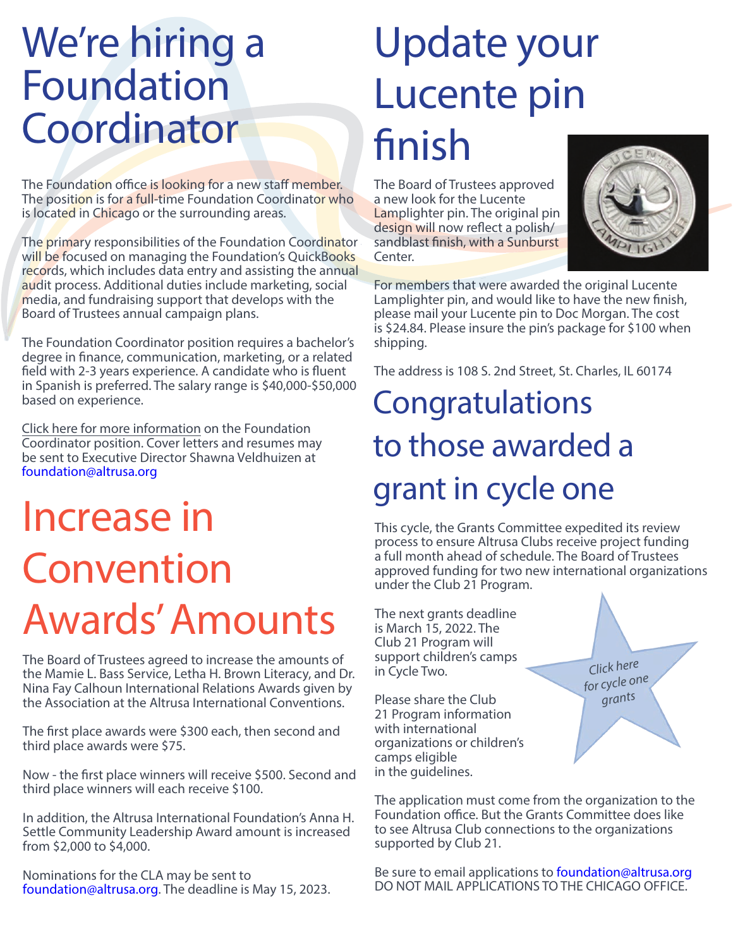## We're hiring a Foundation Coordinator

The Foundation office is looking for a new staff member. The position is for a full-time Foundation Coordinator who is located in Chicago or the surrounding areas.

The primary responsibilities of the Foundation Coordinator will be focused on managing the Foundation's QuickBooks records, which includes data entry and assisting the annual audit process. Additional duties include marketing, social media, and fundraising support that develops with the Board of Trustees annual campaign plans.

The Foundation Coordinator position requires a bachelor's degree in finance, communication, marketing, or a related field with 2-3 years experience. A candidate who is fluent in Spanish is preferred. The salary range is \$40,000-\$50,000 based on experience.

[Click here for more information](https://www.indeed.com/viewjob?t=foundation+coordinator&jk=55e9aabf1d813f2b&_ga=2.11230644.1814924806.1637609798-1473324256.1637609798) on the Foundation Coordinator position. Cover letters and resumes may be sent to Executive Director Shawna Veldhuizen at [foundation@altrusa.org](mailto:foundation@altrusa.org)

# Increase in Convention Awards'Amounts

The Board of Trustees agreed to increase the amounts of the Mamie L. Bass Service, Letha H. Brown Literacy, and Dr. Nina Fay Calhoun International Relations Awards given by the Association at the Altrusa International Conventions.

The first place awards were \$300 each, then second and third place awards were \$75.

Now - the first place winners will receive \$500. Second and third place winners will each receive \$100.

In addition, the Altrusa International Foundation's Anna H. Settle Community Leadership Award amount is increased from \$2,000 to \$4,000.

Nominations for the CLA may be sent to [foundation@altrusa.org.](mailto:foundation@altrusa.org) The deadline is May 15, 2023.

# Update your Lucente pin finish

The Board of Trustees approved a new look for the Lucente Lamplighter pin. The original pin design will now reflect a polish/ sandblast finish, with a Sunburst Center.



For members that were awarded the original Lucente Lamplighter pin, and would like to have the new finish, please mail your Lucente pin to Doc Morgan. The cost is \$24.84. Please insure the pin's package for \$100 when shipping.

The address is 108 S. 2nd Street, St. Charles, IL 60174

### **Congratulations** to those awarded a grant in cycle one

This cycle, the Grants Committee expedited its review process to ensure Altrusa Clubs receive project funding a full month ahead of schedule. The Board of Trustees approved funding for two new international organizations under the Club 21 Program.

The next grants deadline is March 15, 2022. The Club 21 Program will support children's camps in Cycle Two.

Please share the Club 21 Program information with international organizations or children's camps eligible in the guidelines.

The application must come from the organization to the Foundation office. But the Grants Committee does like to see Altrusa Club connections to the organizations supported by Club 21.

Be sure to email applications to [foundation@altrusa.org](mailto:foundation@altrusa.org) DO NOT MAIL APPLICATIONS TO THE CHICAGO OFFICE.

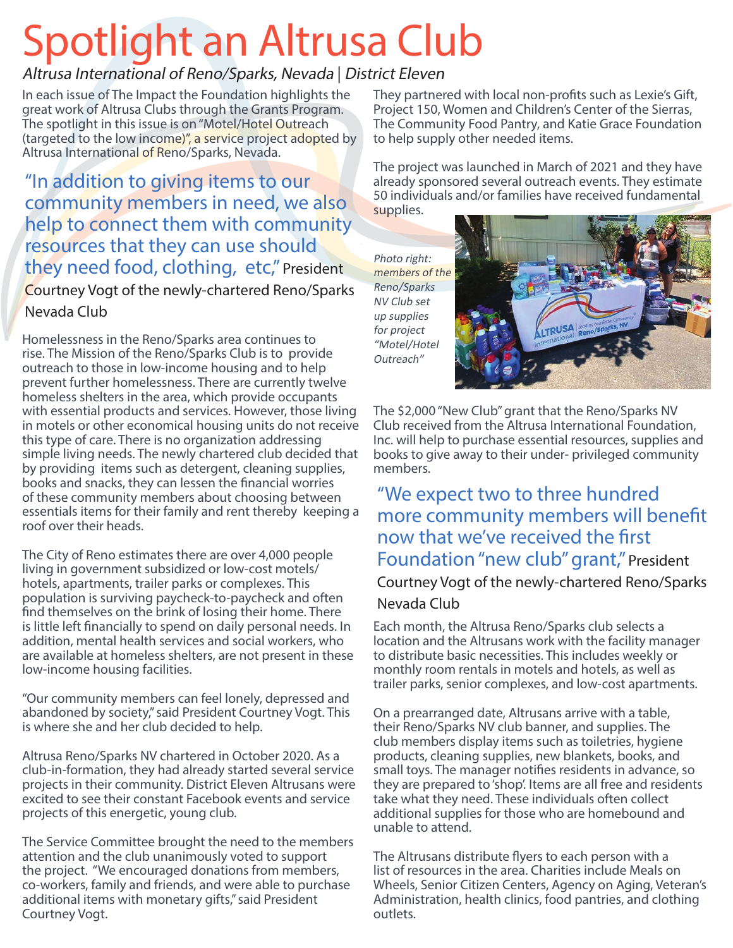# Spotlight an Altrusa Club

### Altrusa International of Reno/Sparks, Nevada | District Eleven

In each issue of The Impact the Foundation highlights the great work of Altrusa Clubs through the Grants Program. The spotlight in this issue is on "Motel/Hotel Outreach (targeted to the low income)", a service project adopted by Altrusa International of Reno/Sparks, Nevada.

"In addition to giving items to our community members in need, we also help to connect them with community resources that they can use should they need food, clothing, etc," President Courtney Vogt of the newly-chartered Reno/Sparks Nevada Club

Homelessness in the Reno/Sparks area continues to rise. The Mission of the Reno/Sparks Club is to provide outreach to those in low-income housing and to help prevent further homelessness. There are currently twelve homeless shelters in the area, which provide occupants with essential products and services. However, those living in motels or other economical housing units do not receive this type of care. There is no organization addressing simple living needs. The newly chartered club decided that by providing items such as detergent, cleaning supplies, books and snacks, they can lessen the financial worries of these community members about choosing between essentials items for their family and rent thereby keeping a roof over their heads.

The City of Reno estimates there are over 4,000 people living in government subsidized or low-cost motels/ hotels, apartments, trailer parks or complexes. This population is surviving paycheck-to-paycheck and often find themselves on the brink of losing their home. There is little left financially to spend on daily personal needs. In addition, mental health services and social workers, who are available at homeless shelters, are not present in these low-income housing facilities.

"Our community members can feel lonely, depressed and abandoned by society," said President Courtney Vogt. This is where she and her club decided to help.

Altrusa Reno/Sparks NV chartered in October 2020. As a club-in-formation, they had already started several service projects in their community. District Eleven Altrusans were excited to see their constant Facebook events and service projects of this energetic, young club.

The Service Committee brought the need to the members attention and the club unanimously voted to support the project. "We encouraged donations from members, co-workers, family and friends, and were able to purchase additional items with monetary gifts," said President Courtney Vogt.

They partnered with local non-profits such as Lexie's Gift, Project 150, Women and Children's Center of the Sierras, The Community Food Pantry, and Katie Grace Foundation to help supply other needed items.

The project was launched in March of 2021 and they have already sponsored several outreach events. They estimate 50 individuals and/or families have received fundamental supplies.

Photo right: members of the Reno/Sparks NV Club set up supplies for project "Motel/Hotel Outreach"



The \$2,000 "New Club" grant that the Reno/Sparks NV Club received from the Altrusa International Foundation, Inc. will help to purchase essential resources, supplies and books to give away to their under- privileged community members.

"We expect two to three hundred more community members will benefit now that we've received the first Foundation "new club" grant," President Courtney Vogt of the newly-chartered Reno/Sparks Nevada Club

Each month, the Altrusa Reno/Sparks club selects a location and the Altrusans work with the facility manager to distribute basic necessities. This includes weekly or monthly room rentals in motels and hotels, as well as trailer parks, senior complexes, and low-cost apartments.

On a prearranged date, Altrusans arrive with a table, their Reno/Sparks NV club banner, and supplies. The club members display items such as toiletries, hygiene products, cleaning supplies, new blankets, books, and small toys. The manager notifies residents in advance, so they are prepared to 'shop'. Items are all free and residents take what they need. These individuals often collect additional supplies for those who are homebound and unable to attend.

The Altrusans distribute flyers to each person with a list of resources in the area. Charities include Meals on Wheels, Senior Citizen Centers, Agency on Aging, Veteran's Administration, health clinics, food pantries, and clothing outlets.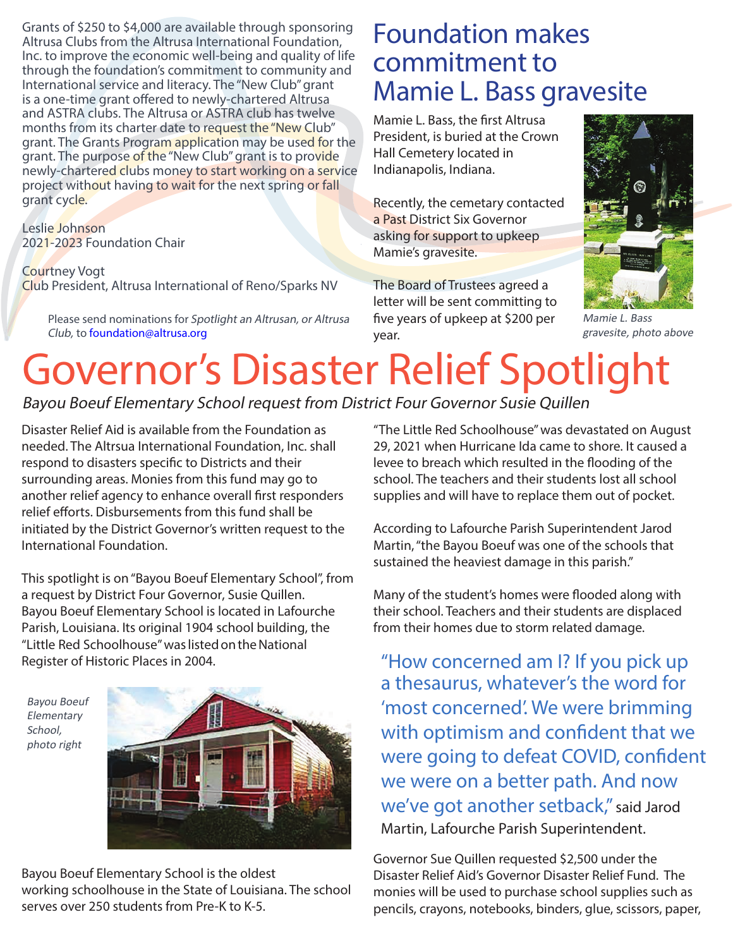Grants of \$250 to \$4,000 are available through sponsoring Altrusa Clubs from the Altrusa International Foundation, Inc. to improve the economic well-being and quality of life through the foundation's commitment to community and International service and literacy. The "New Club" grant is a one-time grant offered to newly-chartered Altrusa and ASTRA clubs. The Altrusa or ASTRA club has twelve months from its charter date to request the "New Club" grant. The Grants Program application may be used for the grant. The purpose of the "New Club" grant is to provide newly-chartered clubs money to start working on a service project without having to wait for the next spring or fall grant cycle.

Leslie Johnson 2021-2023 Foundation Chair

Courtney Vogt Club President, Altrusa International of Reno/Sparks NV

Please send nominations for Spotlight an Altrusan, or Altrusa Club, to [foundation@altrusa.org](mailto:foundation@altrusa.org)

### Foundation makes commitment to Mamie L. Bass gravesite

Mamie L. Bass, the first Altrusa President, is buried at the Crown Hall Cemetery located in Indianapolis, Indiana.

Recently, the cemetary contacted a Past District Six Governor asking for support to upkeep Mamie's gravesite.

The Board of Trustees agreed a letter will be sent committing to five years of upkeep at \$200 per year.



Mamie L. Bass gravesite, photo above

## Governor's Disaster Relief Spotlight

Bayou Boeuf Elementary School request from District Four Governor Susie Quillen

Disaster Relief Aid is available from the Foundation as needed. The Altrsua International Foundation, Inc. shall respond to disasters specific to Districts and their surrounding areas. Monies from this fund may go to another relief agency to enhance overall first responders relief efforts. Disbursements from this fund shall be initiated by the District Governor's written request to the International Foundation.

This spotlight is on "Bayou Boeuf Elementary School", from a request by District Four Governor, Susie Quillen. Bayou Boeuf Elementary School is located in Lafourche Parish, Louisiana. Its original 1904 school building, the "Little Red Schoolhouse" was listed on the National Register of Historic Places in 2004.

Bayou Boeuf Elementary School, photo right



Bayou Boeuf Elementary School is the oldest working schoolhouse in the State of Louisiana. The school serves over 250 students from Pre-K to K-5.

"The Little Red Schoolhouse" was devastated on August 29, 2021 when Hurricane Ida came to shore. It caused a levee to breach which resulted in the flooding of the school. The teachers and their students lost all school supplies and will have to replace them out of pocket.

According to Lafourche Parish Superintendent Jarod Martin, "the Bayou Boeuf was one of the schools that sustained the heaviest damage in this parish."

Many of the student's homes were flooded along with their school. Teachers and their students are displaced from their homes due to storm related damage.

"How concerned am I? If you pick up a thesaurus, whatever's the word for 'most concerned'. We were brimming with optimism and confident that we were going to defeat COVID, confident we were on a better path. And now we've got another setback,"said Jarod Martin, Lafourche Parish Superintendent.

Governor Sue Quillen requested \$2,500 under the Disaster Relief Aid's Governor Disaster Relief Fund. The monies will be used to purchase school supplies such as pencils, crayons, notebooks, binders, glue, scissors, paper,